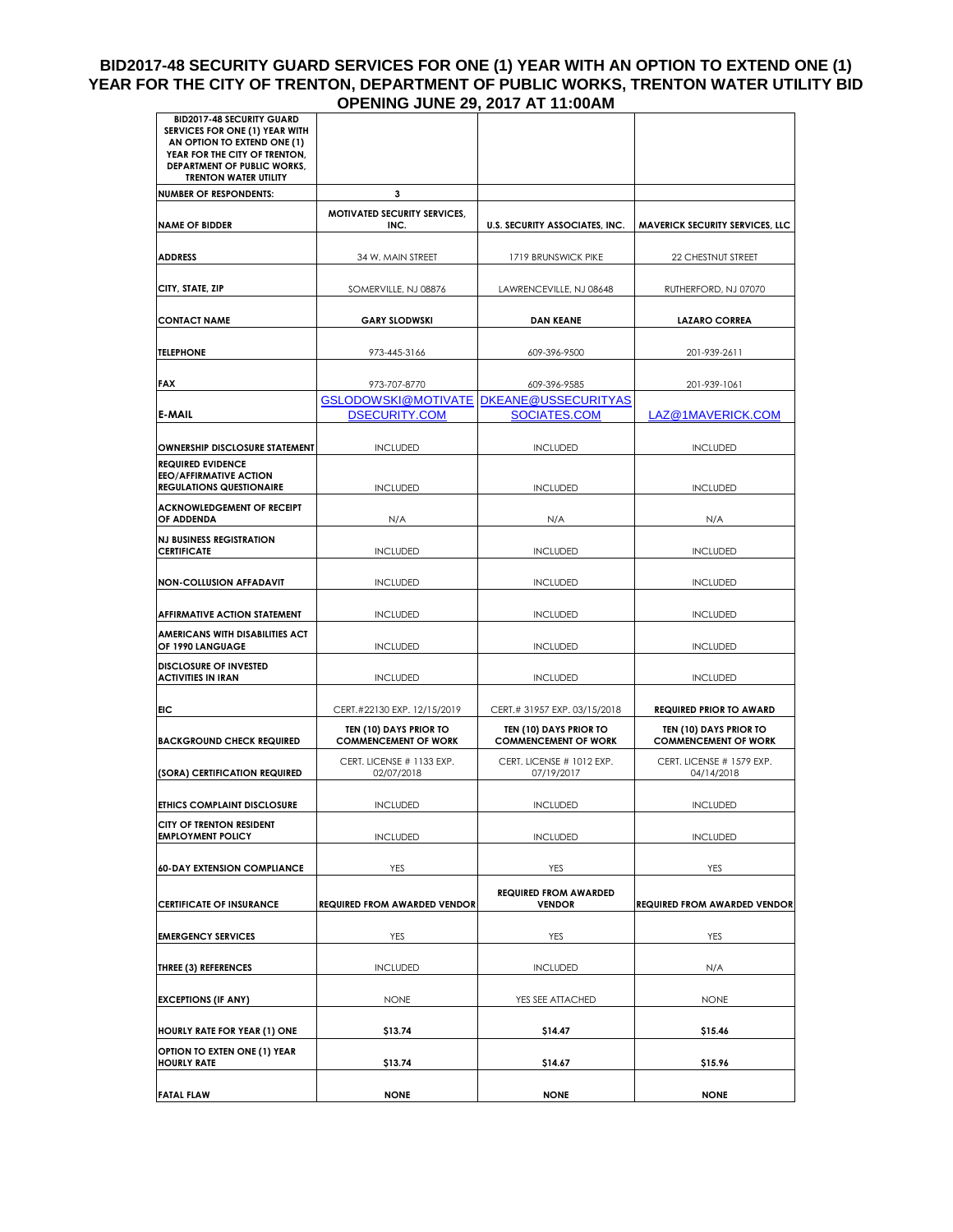## **BID2017-48 SECURITY GUARD SERVICES FOR ONE (1) YEAR WITH AN OPTION TO EXTEND ONE (1) YEAR FOR THE CITY OF TRENTON, DEPARTMENT OF PUBLIC WORKS, TRENTON WATER UTILITY BID OPENING JUNE 29, 2017 AT 11:00AM**

| <b>BID2017-48 SECURITY GUARD</b><br>SERVICES FOR ONE (1) YEAR WITH<br>AN OPTION TO EXTEND ONE (1)<br>YEAR FOR THE CITY OF TRENTON,<br><b>DEPARTMENT OF PUBLIC WORKS,</b><br><b>TRENTON WATER UTILITY</b> |                                                                   |                                                       |                                                       |
|----------------------------------------------------------------------------------------------------------------------------------------------------------------------------------------------------------|-------------------------------------------------------------------|-------------------------------------------------------|-------------------------------------------------------|
| <b>NUMBER OF RESPONDENTS:</b>                                                                                                                                                                            | 3                                                                 |                                                       |                                                       |
| <b>NAME OF BIDDER</b>                                                                                                                                                                                    | <b>MOTIVATED SECURITY SERVICES,</b><br>INC.                       | <b>U.S. SECURITY ASSOCIATES, INC.</b>                 | <b>MAVERICK SECURITY SERVICES, LLC</b>                |
| <b>ADDRESS</b>                                                                                                                                                                                           | 34 W. MAIN STREET                                                 | 1719 BRUNSWICK PIKE                                   | 22 CHESTNUT STREET                                    |
| CITY, STATE, ZIP                                                                                                                                                                                         | SOMERVILLE, NJ 08876                                              | LAWRENCEVILLE, NJ 08648                               | RUTHERFORD, NJ 07070                                  |
| <b>CONTACT NAME</b>                                                                                                                                                                                      | <b>GARY SLODWSKI</b>                                              | <b>DAN KEANE</b>                                      | <b>LAZARO CORREA</b>                                  |
| <b>TELEPHONE</b>                                                                                                                                                                                         | 973-445-3166                                                      | 609-396-9500                                          | 201-939-2611                                          |
| FAX                                                                                                                                                                                                      | 973-707-8770                                                      | 609-396-9585                                          | 201-939-1061                                          |
| E-MAIL                                                                                                                                                                                                   | GSLODOWSKI@MOTIVATE   DKEANE@USSECURITYAS<br><b>DSECURITY.COM</b> | SOCIATES.COM                                          | LAZ@1MAVERICK.COM                                     |
| <b>OWNERSHIP DISCLOSURE STATEMENT</b>                                                                                                                                                                    | <b>INCLUDED</b>                                                   | <b>INCLUDED</b>                                       | <b>INCLUDED</b>                                       |
| <b>REQUIRED EVIDENCE</b><br><b>EEO/AFFIRMATIVE ACTION</b><br><b>REGULATIONS QUESTIONAIRE</b>                                                                                                             | <b>INCLUDED</b>                                                   | <b>INCLUDED</b>                                       | <b>INCLUDED</b>                                       |
| <b>ACKNOWLEDGEMENT OF RECEIPT</b><br>OF ADDENDA                                                                                                                                                          | N/A                                                               | N/A                                                   | N/A                                                   |
| <b>NJ BUSINESS REGISTRATION</b><br><b>CERTIFICATE</b>                                                                                                                                                    | <b>INCLUDED</b>                                                   | <b>INCLUDED</b>                                       | <b>INCLUDED</b>                                       |
| <b>NON-COLLUSION AFFADAVIT</b>                                                                                                                                                                           | <b>INCLUDED</b>                                                   | <b>INCLUDED</b>                                       | <b>INCLUDED</b>                                       |
| <b>AFFIRMATIVE ACTION STATEMENT</b>                                                                                                                                                                      | <b>INCLUDED</b>                                                   | <b>INCLUDED</b>                                       | <b>INCLUDED</b>                                       |
| AMERICANS WITH DISABILITIES ACT<br>OF 1990 LANGUAGE                                                                                                                                                      | <b>INCLUDED</b>                                                   | <b>INCLUDED</b>                                       | <b>INCLUDED</b>                                       |
| <b>DISCLOSURE OF INVESTED</b><br><b>ACTIVITIES IN IRAN</b>                                                                                                                                               | <b>INCLUDED</b>                                                   | <b>INCLUDED</b>                                       | <b>INCLUDED</b>                                       |
| EIC                                                                                                                                                                                                      | CERT.#22130 EXP. 12/15/2019                                       | CERT.# 31957 EXP. 03/15/2018                          | <b>REQUIRED PRIOR TO AWARD</b>                        |
| <b>BACKGROUND CHECK REQUIRED</b>                                                                                                                                                                         | TEN (10) DAYS PRIOR TO<br><b>COMMENCEMENT OF WORK</b>             | TEN (10) DAYS PRIOR TO<br><b>COMMENCEMENT OF WORK</b> | TEN (10) DAYS PRIOR TO<br><b>COMMENCEMENT OF WORK</b> |
| (SORA) CERTIFICATION REQUIRED                                                                                                                                                                            | CERT. LICENSE # 1133 EXP.<br>02/07/2018                           | CERT. LICENSE # 1012 EXP.<br>07/19/2017               | CERT. LICENSE # 1579 EXP.<br>04/14/2018               |
| <b>ETHICS COMPLAINT DISCLOSURE</b>                                                                                                                                                                       | <b>INCLUDED</b>                                                   | <b>INCLUDED</b>                                       | <b>INCLUDED</b>                                       |
| CITY OF TRENTON RESIDENT<br><b>EMPLOYMENT POLICY</b>                                                                                                                                                     | <b>INCLUDED</b>                                                   | <b>INCLUDED</b>                                       | <b>INCLUDED</b>                                       |
| <b>60-DAY EXTENSION COMPLIANCE</b>                                                                                                                                                                       | YES                                                               | <b>YES</b>                                            | <b>YES</b>                                            |
| <b>CERTIFICATE OF INSURANCE</b>                                                                                                                                                                          | <b>REQUIRED FROM AWARDED VENDOR</b>                               | <b>REQUIRED FROM AWARDED</b><br><b>VENDOR</b>         | <b>REQUIRED FROM AWARDED VENDOR</b>                   |
| <b>EMERGENCY SERVICES</b>                                                                                                                                                                                | YES                                                               | YES                                                   | <b>YES</b>                                            |
| THREE (3) REFERENCES                                                                                                                                                                                     | <b>INCLUDED</b>                                                   | <b>INCLUDED</b>                                       | N/A                                                   |
| <b>EXCEPTIONS (IF ANY)</b>                                                                                                                                                                               | <b>NONE</b>                                                       | YES SEE ATTACHED                                      | <b>NONE</b>                                           |
| HOURLY RATE FOR YEAR (1) ONE                                                                                                                                                                             | \$13.74                                                           | \$14.47                                               | \$15.46                                               |
| OPTION TO EXTEN ONE (1) YEAR<br><b>HOURLY RATE</b>                                                                                                                                                       | \$13.74                                                           | \$14.67                                               | \$15.96                                               |
| <b>FATAL FLAW</b>                                                                                                                                                                                        | <b>NONE</b>                                                       | <b>NONE</b>                                           | <b>NONE</b>                                           |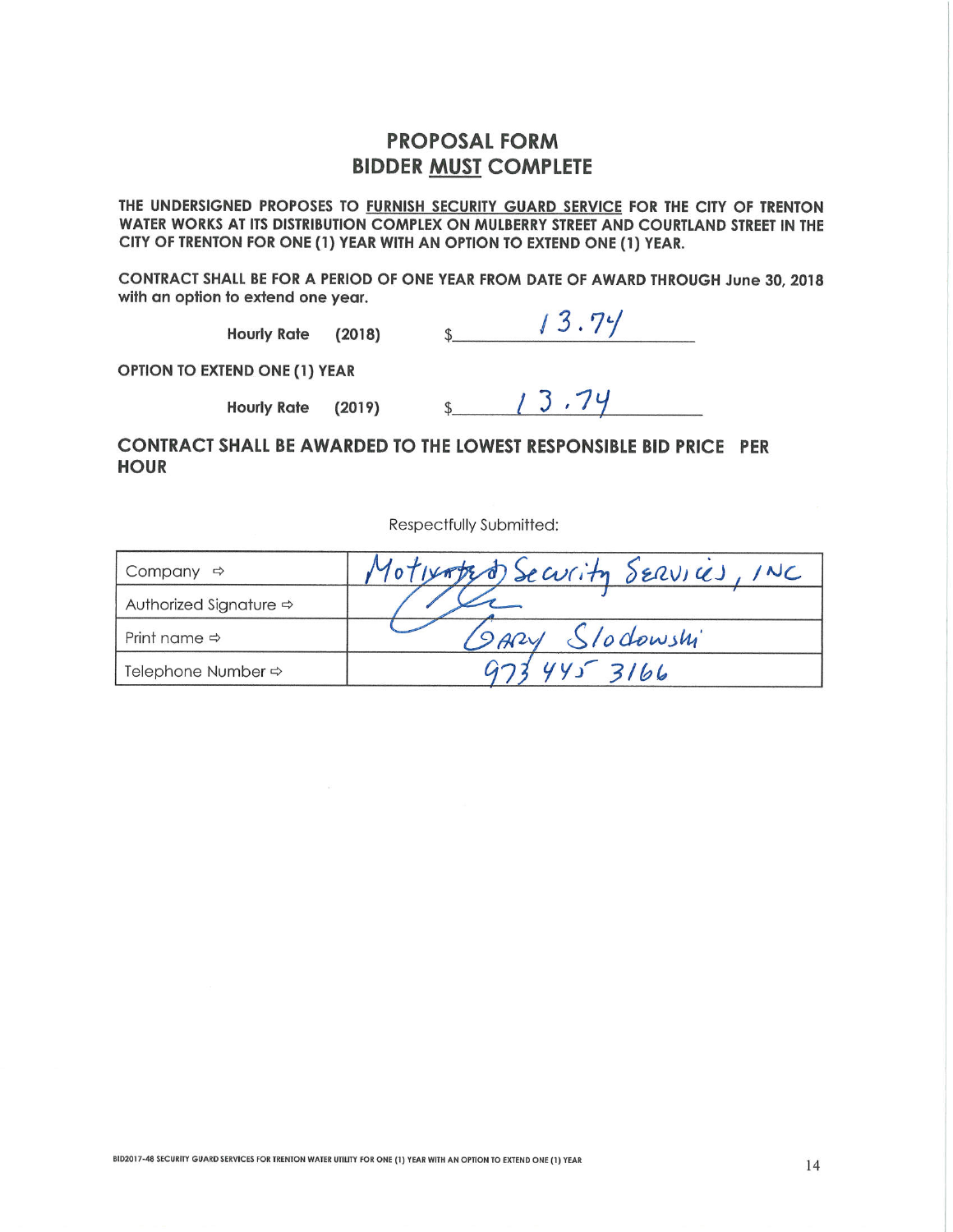## **PROPOSAL FORM BIDDER MUST COMPLETE**

THE UNDERSIGNED PROPOSES TO FURNISH SECURITY GUARD SERVICE FOR THE CITY OF TRENTON WATER WORKS AT ITS DISTRIBUTION COMPLEX ON MULBERRY STREET AND COURTLAND STREET IN THE CITY OF TRENTON FOR ONE (1) YEAR WITH AN OPTION TO EXTEND ONE (1) YEAR.

CONTRACT SHALL BE FOR A PERIOD OF ONE YEAR FROM DATE OF AWARD THROUGH June 30, 2018 with an option to extend one year.

Hourly Rate (2018)  $\frac{1}{3}$ . 74

**OPTION TO EXTEND ONE (1) YEAR** 

**Hourly Rate** 

 $(2019)$  \$ 13.74

CONTRACT SHALL BE AWARDED TO THE LOWEST RESPONSIBLE BID PRICE PER **HOUR** 

Respectfully Submitted:

| Company $\Rightarrow$                  | Motwater Security SERVICES, |
|----------------------------------------|-----------------------------|
| Authorized Signature $\Leftrightarrow$ |                             |
| Print name $\Rightarrow$               | SARY Slodowshi              |
| Telephone Number →                     | 1453166                     |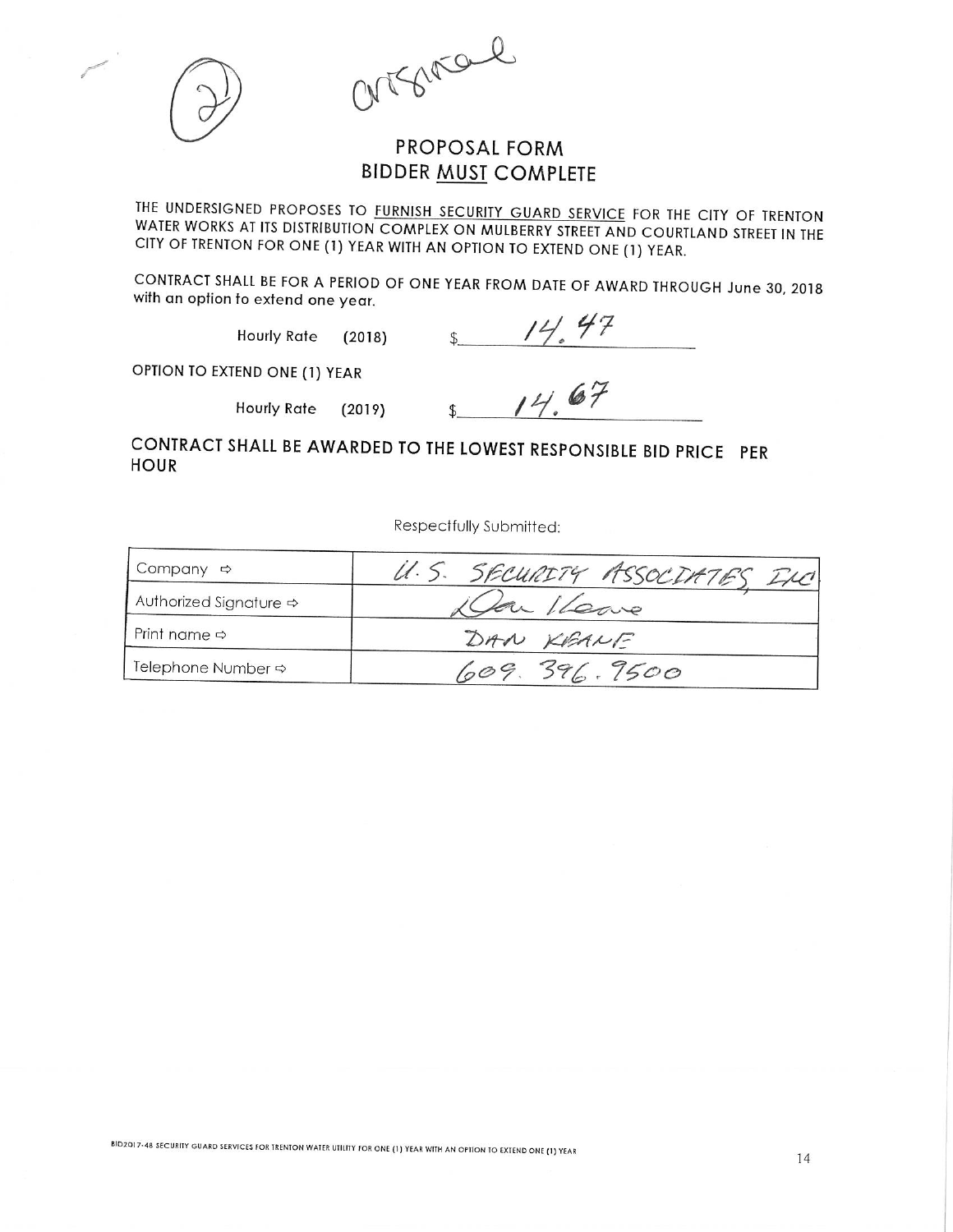argement



## **PROPOSAL FORM BIDDER MUST COMPLETE**

THE UNDERSIGNED PROPOSES TO FURNISH SECURITY GUARD SERVICE FOR THE CITY OF TRENTON WATER WORKS AT ITS DISTRIBUTION COMPLEX ON MULBERRY STREET AND COURTLAND STREET IN THE CITY OF TRENTON FOR ONE (1) YEAR WITH AN OPTION TO EXTEND ONE (1) YEAR.

CONTRACT SHALL BE FOR A PERIOD OF ONE YEAR FROM DATE OF AWARD THROUGH June 30, 2018 with an option to extend one year.

> **Hourly Rate**  $(2018)$

 $14.47$  $\mathbb{S}$ 

OPTION TO EXTEND ONE (1) YEAR

**Hourly Rate**  $(2019)$ 

 $1467$ 

CONTRACT SHALL BE AWARDED TO THE LOWEST RESPONSIBLE BID PRICE PER **HOUR** 

Respectfully Submitted:

| Company $\Leftrightarrow$              | U.S. SECURITY ASSOCIATES INC |  |  |
|----------------------------------------|------------------------------|--|--|
| Authorized Signature $\Leftrightarrow$ | La Ileane                    |  |  |
| Print name $\Leftrightarrow$           | DAN KEANE                    |  |  |
| Telephone Number <>                    | 1009.396.7500                |  |  |